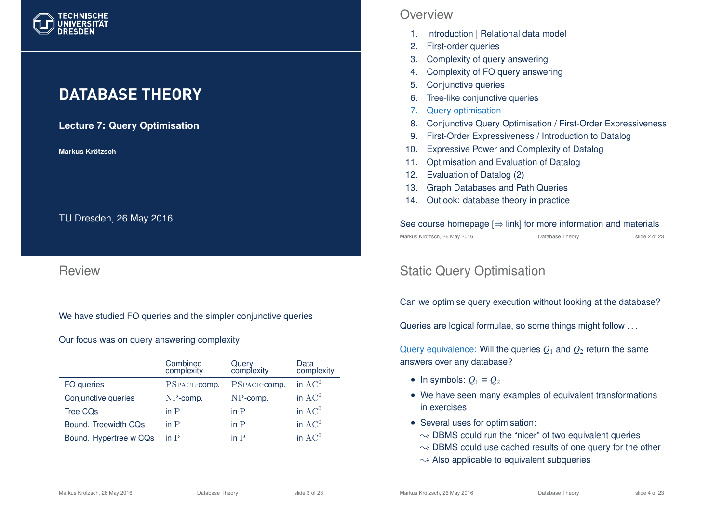

# **DATABASE THEORY**

**Lecture 7: Query Optimisation**

**Markus Krotzsch ¨**

TU Dresden, 26 May 2016

#### Review

We have studied FO queries and the simpler conjunctive queries

Our focus was on query answering complexity:

|                        | Combined<br>complexity | Query<br>complexity | Data<br>complexity |
|------------------------|------------------------|---------------------|--------------------|
| FO queries             | PSPACE-comp.           | PSPACE-comp.        | in $AC^0$          |
| Conjunctive queries    | $NP$ -comp.            | NP-comp.            | in $AC0$           |
| <b>Tree CQs</b>        | in $P$                 | in $P$              | in $AC^0$          |
| Bound. Treewidth CQs   | in $P$                 | in $P$              | in $AC^0$          |
| Bound. Hypertree w CQs | in $P$                 | in $P$              | in $AC0$           |

#### **Overview**

- 1. Introduction | Relational data model
- 2. First-order queries
- 3. Complexity of query answering
- 4. Complexity of FO query answering
- 5. Conjunctive queries
- 6. Tree-like conjunctive queries
- 7. Query optimisation
- 8. Conjunctive Query Optimisation / First-Order Expressiveness
- 9. First-Order Expressiveness / Introduction to Datalog
- 10. Expressive Power and Complexity of Datalog
- 11. Optimisation and Evaluation of Datalog
- 12. Evaluation of Datalog (2)
- 13. Graph Databases and Path Queries
- 14. Outlook: database theory in practice

#### See course homepage  $[\Rightarrow$  link] for more information and materials Markus Krötzsch, 26 May 2016 Database Theory slide 2 of 23

# Static Query Optimisation

Can we optimise query execution without looking at the database?

Queries are logical formulae, so some things might follow . . .

Query equivalence: Will the queries  $Q_1$  and  $Q_2$  return the same answers over any database?

- In symbols:  $Q_1 \equiv Q_2$
- We have seen many examples of equivalent transformations in exercises
- Several uses for optimisation:
	- $\rightarrow$  DBMS could run the "nicer" of two equivalent queries
	- $\rightarrow$  DBMS could use cached results of one query for the other
	- $\rightarrow$  Also applicable to equivalent subqueries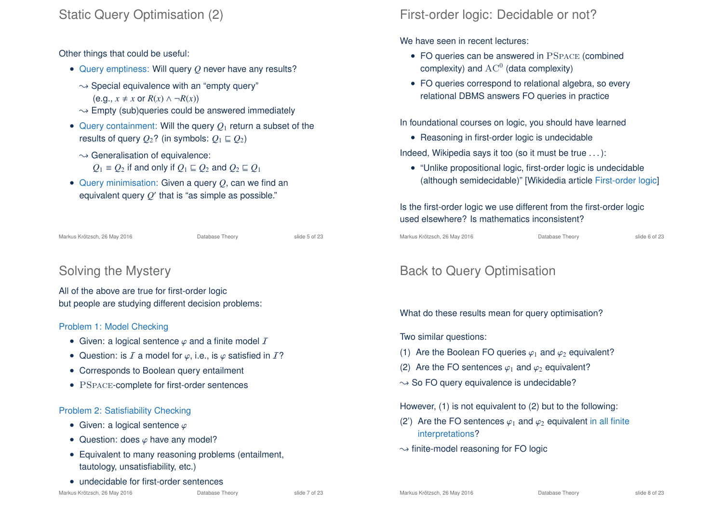# Static Query Optimisation (2)

Other things that could be useful:

- Query emptiness: Will query *Q* never have any results?
	- $\rightarrow$  Special equivalence with an "empty query"  $(e.a., x \neq x \text{ or } R(x) \land \neg R(x))$
	- $\rightarrow$  Empty (sub)queries could be answered immediately
- Query containment: Will the query  $Q_1$  return a subset of the results of query  $Q_2$ ? (in symbols:  $Q_1 \sqsubseteq Q_2$ )
	- $\sim$  Generalisation of equivalence:
		- *Q*<sub>1</sub> ≡ *Q*<sub>2</sub> if and only if  $Q$ <sub>1</sub> ⊑ *Q*<sub>2</sub> and  $Q$ <sub>2</sub> ⊑ *Q*<sub>1</sub>
- Query minimisation: Given a query *Q*, can we find an equivalent query  $\mathit{Q}'$  that is "as simple as possible."

Markus Krötzsch, 26 May 2016 Database Theory slide 5 of 23

# Solving the Mystery

All of the above are true for first-order logic but people are studying different decision problems:

#### Problem 1: Model Checking

- Given: a logical sentence  $\varphi$  and a finite model  $\mathcal I$
- Question: is  $I$  a model for  $\varphi$ , i.e., is  $\varphi$  satisfied in  $I$ ?
- Corresponds to Boolean query entailment
- PSPACE-complete for first-order sentences

#### Problem 2: Satisfiability Checking

- Given: a logical sentence  $\varphi$
- Question: does  $\varphi$  have any model?
- Equivalent to many reasoning problems (entailment, tautology, unsatisfiability, etc.)
- undecidable for first-order sentences

# First-order logic: Decidable or not?

We have seen in recent lectures:

- FO queries can be answered in PSPACE (combined complexity) and  $\operatorname{AC}^0$  (data complexity)
- FO queries correspond to relational algebra, so every relational DBMS answers FO queries in practice

In foundational courses on logic, you should have learned

• Reasoning in first-order logic is undecidable

Indeed, Wikipedia says it too (so it must be true . . . ):

• "Unlike propositional logic, first-order logic is undecidable (although semidecidable)" [Wikidedia article First-order logic]

Is the first-order logic we use different from the first-order logic used elsewhere? Is mathematics inconsistent?

Markus Krötzsch, 26 May 2016 **Database Theory** Charles Krötzsch, 26 May 2016

# Back to Query Optimisation

What do these results mean for query optimisation?

Two similar questions:

- (1) Are the Boolean FO queries  $\varphi_1$  and  $\varphi_2$  equivalent?
- (2) Are the FO sentences  $\varphi_1$  and  $\varphi_2$  equivalent?
- $\rightarrow$  So FO query equivalence is undecidable?

However, (1) is not equivalent to (2) but to the following:

- (2') Are the FO sentences  $\varphi_1$  and  $\varphi_2$  equivalent in all finite interpretations?
- $\rightarrow$  finite-model reasoning for FO logic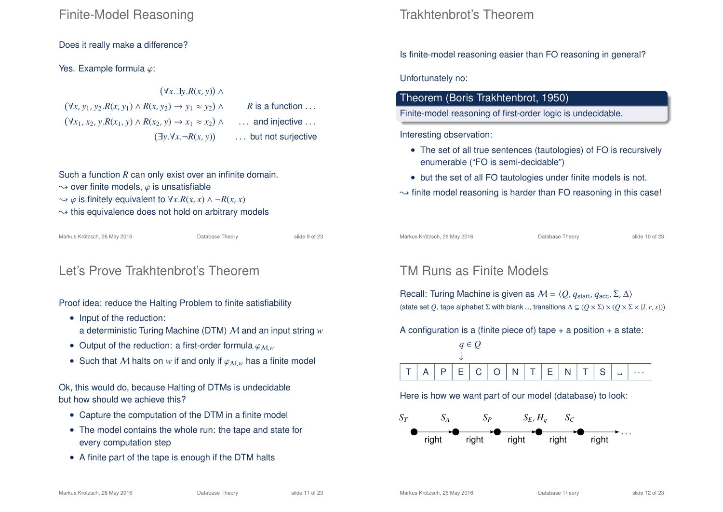## Finite-Model Reasoning

Does it really make a difference?

Yes. Example formula  $\varphi$ :

 ∀*x*.∃*y*.*R*(*x*, *y*) ∧ ∀*x*, *y*1, *y*2.*R*(*x*, *y*1) ∧ *R*(*x*, *y*2) → *y*<sup>1</sup> ≈ *y*<sup>2</sup> ∧ *R* is a function . . . ∀*x*1, *x*2, *y*.*R*(*x*1, *y*) ∧ *R*(*x*2, *y*) → *x*<sup>1</sup> ≈ *x*<sup>2</sup> ∧ . . . and injective . . . ∃*y*.∀*x*.¬*R*(*x*, *y*) . . . but not surjective

Such a function *R* can only exist over an infinite domain.  $\rightarrow$  over finite models,  $\varphi$  is unsatisfiable  $\rightarrow \varphi$  is finitely equivalent to  $\forall x.R(x, x) \land \neg R(x, x)$  $\rightarrow$  this equivalence does not hold on arbitrary models

Markus Krötzsch, 26 May 2016 Database Theory slide 9 of 23

# Let's Prove Trakhtenbrot's Theorem

Proof idea: reduce the Halting Problem to finite satisfiability

- Input of the reduction: a deterministic Turing Machine (DTM) M and an input string *w*
- Output of the reduction: a first-order formula  $\varphi_{Mw}$
- Such that M halts on w if and only if  $\varphi_{M,w}$  has a finite model

Ok, this would do, because Halting of DTMs is undecidable but how should we achieve this?

- Capture the computation of the DTM in a finite model
- The model contains the whole run: the tape and state for every computation step
- A finite part of the tape is enough if the DTM halts

# Trakhtenbrot's Theorem

Is finite-model reasoning easier than FO reasoning in general?

Unfortunately no:

#### Theorem (Boris Trakhtenbrot, 1950)

Finite-model reasoning of first-order logic is undecidable.

Interesting observation:

- The set of all true sentences (tautologies) of FO is recursively enumerable ("FO is semi-decidable")
- but the set of all FO tautologies under finite models is not.

 $\rightarrow$  finite model reasoning is harder than FO reasoning in this case!

Markus Krötzsch, 26 May 2016 **Database Theory** Slide 10 of 23

# TM Runs as Finite Models

Recall: Turing Machine is given as  $M = \langle Q, q_{start}, q_{acc}, \Sigma, \Delta \rangle$ (state set *Q*, tape alphabet  $\Sigma$  with blank <sub>→</sub>, transitions  $\Delta \subseteq (O \times \Sigma) \times (O \times \Sigma \times \{l, r, s\})$ )

A configuration is a (finite piece of) tape  $+$  a position  $+$  a state:



Here is how we want part of our model (database) to look:

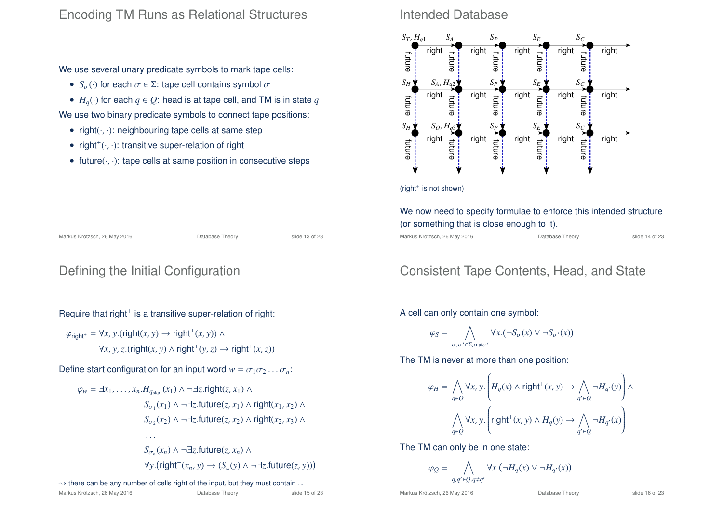## Encoding TM Runs as Relational Structures

We use several unary predicate symbols to mark tape cells:

- $S_{\sigma}(\cdot)$  for each  $\sigma \in \Sigma$ : tape cell contains symbol  $\sigma$
- $H_q(\cdot)$  for each  $q \in Q$ : head is at tape cell, and TM is in state q We use two binary predicate symbols to connect tape positions:
	- right $(\cdot, \cdot)$ : neighbouring tape cells at same step
	- right<sup>+</sup> $(\cdot, \cdot)$ : transitive super-relation of right
	- future $(\cdot, \cdot)$ : tape cells at same position in consecutive steps

### Intended Database



(right<sup>+</sup> is not shown)

#### Markus Krötzsch, 26 May 2016 **Database Theory** Slide 13 of 23

## Defining the Initial Configuration

Require that right<sup>+</sup> is a transitive super-relation of right:

$$
\varphi_{\text{right}^+} = \forall x, y. (\text{right}(x, y) \rightarrow \text{right}^+(x, y)) \land
$$

$$
\forall x, y, z. (\text{right}(x, y) \land \text{right}^+(y, z) \rightarrow \text{right}^+(x, z))
$$

Define start configuration for an input word  $w = \sigma_1 \sigma_2 \ldots \sigma_n$ .

$$
\varphi_w = \exists x_1, \dots, x_n. H_{q_{start}}(x_1) \land \neg \exists z.\text{right}(z, x_1) \land
$$
  
\n
$$
S_{\sigma_1}(x_1) \land \neg \exists z.\text{future}(z, x_1) \land \text{right}(x_1, x_2) \land
$$
  
\n
$$
S_{\sigma_2}(x_2) \land \neg \exists z.\text{future}(z, x_2) \land \text{right}(x_2, x_3) \land
$$
  
\n...  
\n
$$
S_{\sigma_n}(x_n) \land \neg \exists z.\text{future}(z, x_n) \land
$$
  
\n
$$
\forall y.(\text{right}^+(x_n, y) \rightarrow (S_{\omega}(y) \land \neg \exists z.\text{future}(z, y)))
$$

#### $\rightarrow$  there can be any number of cells right of the input, but they must contain  $\Box$ .

|  | Markus Krötzsch, 26 May 2016 |  |  |  |
|--|------------------------------|--|--|--|
|--|------------------------------|--|--|--|

$$
\varphi_Q =
$$

Markus Krötzsch, 26 May 2016 **Database Theory** Slide 16 of 23

#### We now need to specify formulae to enforce this intended structure (or something that is close enough to it).

Markus Krötzsch, 26 May 2016 Database Theory slide 14 of 23

# Consistent Tape Contents, Head, and State

A cell can only contain one symbol:

$$
\varphi_S = \bigwedge_{\sigma,\sigma' \in \Sigma, \sigma \neq \sigma'} \forall x. (\neg S_{\sigma}(x) \vee \neg S_{\sigma'}(x))
$$

The TM is never at more than one position:

$$
\varphi_H = \bigwedge_{q \in Q} \forall x, y. \left( H_q(x) \land \text{right}^+(x, y) \to \bigwedge_{q' \in Q} \neg H_{q'}(y) \right) \land \bigwedge_{q \in Q} \forall x, y. \left( \text{right}^+(x, y) \land H_q(y) \to \bigwedge_{q' \in Q} \neg H_{q'}(x) \right)
$$

 $\forall x. (\neg H_q(x) \lor \neg H_{q'}(x))$ 

The TM can only be in one state:

 $\Lambda$ *q*,*q*′∈*Q*,*q*≠*q*′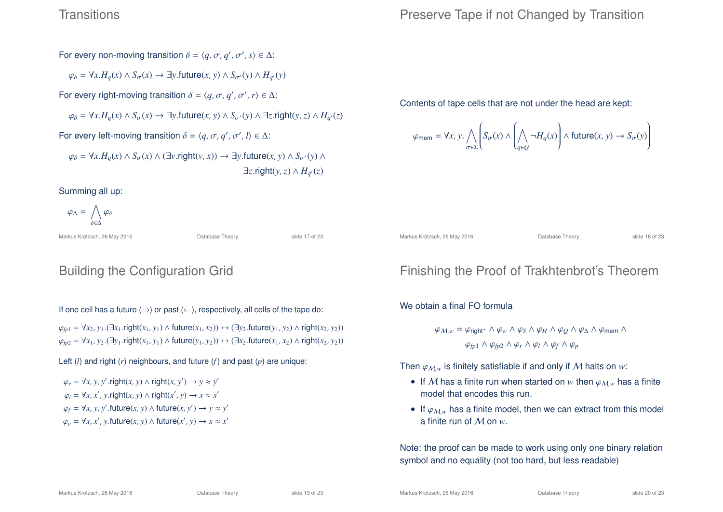#### **Transitions**

## Preserve Tape if not Changed by Transition

For every non-moving transition  $\delta = \langle q, \sigma, q', \sigma', s \rangle \in \Delta$ :

 $\varphi_{\delta} = \forall x . H_q(x) \land S_{\sigma}(x) \rightarrow \exists y .$ future $(x, y) \land S_{\sigma'}(y) \land H_{q'}(y)$ 

For every right-moving transition  $\delta = \langle q, \sigma, q', \sigma', r \rangle \in \Delta$ :

$$
\varphi_{\delta} = \forall x . H_q(x) \land S_{\sigma}(x) \rightarrow \exists y . \text{future}(x, y) \land S_{\sigma'}(y) \land \exists z . \text{right}(y, z) \land H_{q'}(z)
$$

For every left-moving transition  $\delta = \langle q, \sigma, q', \sigma', l \rangle \in \Delta$ :

 $\varphi_{\delta} = \forall x . H_{a}(x) \land S_{\sigma}(x) \land (\exists v . \text{right}(v, x)) \rightarrow \exists y . \text{future}(x, y) \land S_{\sigma}(y) \land$  $\exists z$ .right(*y*, *z*)  $\wedge$   $H_{q'}(z)$ 

Summing all up:

$$
\varphi_{\Delta} = \bigwedge_{\delta \in \Delta} \varphi_{\delta}
$$

Markus Krötzsch, 26 May 2016 **Database Theory** Slide 17 of 23

# Building the Configuration Grid

If one cell has a future  $(\rightarrow)$  or past  $(\leftarrow)$ , respectively, all cells of the tape do:

 $\varphi_{fp1} = \forall x_2, y_1$ . (∃ $x_1$ .right( $x_1, y_1$ ) ∧ future( $x_1, x_2$ )) ↔ (∃ $y_2$ .future( $y_1, y_2$ ) ∧ right( $x_2, y_2$ ))  $\varphi_{fp2} = \forall x_1, y_2$ . (∃*y*<sub>1</sub>.right(*x*<sub>1</sub>, *y*<sub>1</sub>) ∧ future(*y*<sub>1</sub>, *y*<sub>2</sub>)) ↔ (∃*x*<sub>2</sub>.future(*x*<sub>1</sub>, *x*<sub>2</sub>) ∧ right(*x*<sub>2</sub>, *y*<sub>2</sub>))

Left (*l*) and right (*r*) neighbours, and future (*f*) and past (*p*) are unique:

 $\varphi_r = \forall x, y, y'$ .right $(x, y) \land$ right $(x, y') \rightarrow y \approx y'$  $\varphi_l = \forall x, x', y.\text{right}(x, y) \land \text{right}(x', y) \rightarrow x \approx x'$  $\varphi_f = \forall x, y, y'$ .future $(x, y) \land$  future $(x, y') \rightarrow y \approx y'$  $\varphi_p = \forall x, x', y$ .future $(x, y) \land$  future $(x', y) \rightarrow x \approx x'$  Contents of tape cells that are not under the head are kept:

$$
\varphi_{\text{mem}} = \forall x, y \ldotp \bigwedge_{\sigma \in \Sigma} \left( S_{\sigma}(x) \land \left( \bigwedge_{q \in Q} \neg H_q(x) \right) \land \text{future}(x, y) \rightarrow S_{\sigma}(y) \right)
$$

Markus Krötzsch, 26 May 2016 **Database Theory** Slide 18 of 23

# Finishing the Proof of Trakhtenbrot's Theorem

We obtain a final FO formula

$$
\varphi_{\mathcal{M},w} = \varphi_{\text{right}^+} \wedge \varphi_w \wedge \varphi_S \wedge \varphi_H \wedge \varphi_Q \wedge \varphi_\Delta \wedge \varphi_{\text{mem}} \wedge
$$

$$
\varphi_{\text{fp1}} \wedge \varphi_{\text{fp2}} \wedge \varphi_r \wedge \varphi_l \wedge \varphi_f \wedge \varphi_p
$$

Then  $\varphi_{M,w}$  is finitely satisfiable if and only if M halts on *w*:

- If M has a finite run when started on w then  $\varphi_{M,w}$  has a finite model that encodes this run.
- If  $\varphi_{M,w}$  has a finite model, then we can extract from this model a finite run of M on *w*.

Note: the proof can be made to work using only one binary relation symbol and no equality (not too hard, but less readable)